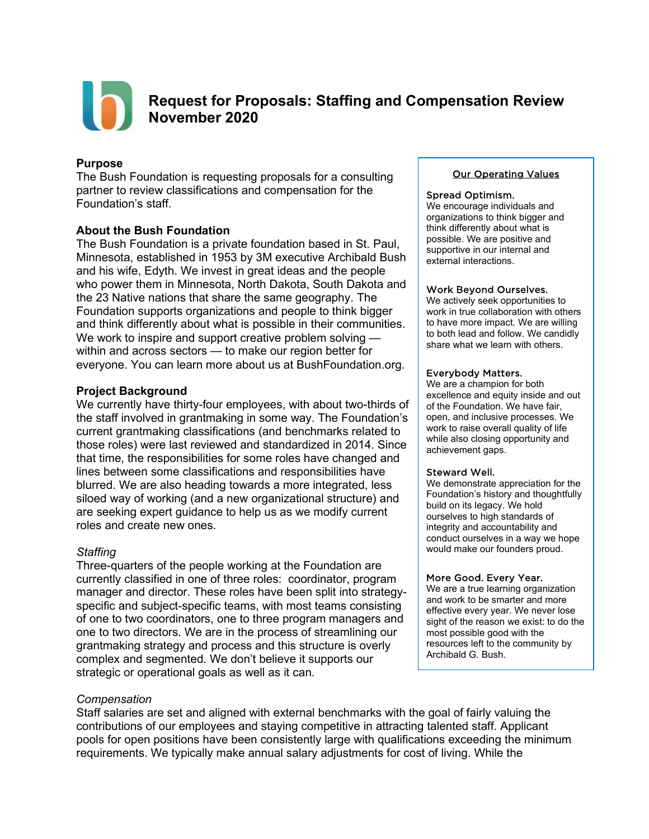

# **Request for Proposals: Staffing and Compensation Review November 2020**

### **Purpose**

The Bush Foundation is requesting proposals for a consulting partner to review classifications and compensation for the Foundation's staff.

### **About the Bush Foundation**

The Bush Foundation is a private foundation based in St. Paul, Minnesota, established in 1953 by 3M executive Archibald Bush and his wife, Edyth. We invest in great ideas and the people who power them in Minnesota, North Dakota, South Dakota and the 23 Native nations that share the same geography. The Foundation supports organizations and people to think bigger and think differently about what is possible in their communities. We work to inspire and support creative problem solving within and across sectors — to make our region better for everyone. You can learn more about us at [BushFoundation.org.](http://www.bushfoundation.org/)

### **Project Background**

We currently have thirty-four employees, with about two-thirds of the staff involved in grantmaking in some way. The Foundation's current grantmaking classifications (and benchmarks related to those roles) were last reviewed and standardized in 2014. Since that time, the responsibilities for some roles have changed and lines between some classifications and responsibilities have blurred. We are also heading towards a more integrated, less siloed way of working (and a new organizational structure) and are seeking expert guidance to help us as we modify current roles and create new ones.

## *Staffing*

Three-quarters of the people working at the Foundation are currently classified in one of three roles: coordinator, program manager and director. These roles have been split into strategyspecific and subject-specific teams, with most teams consisting of one to two coordinators, one to three program managers and one to two directors. We are in the process of streamlining our grantmaking strategy and process and this structure is overly complex and segmented. We don't believe it supports our strategic or operational goals as well as it can.

#### *Compensation*

Staff salaries are set and aligned with external benchmarks with the goal of fairly valuing the contributions of our employees and staying competitive in attracting talented staff. Applicant pools for open positions have been consistently large with qualifications exceeding the minimum requirements. We typically make annual salary adjustments for cost of living. While the

#### Our Operating Values

#### Spread Optimism.

We encourage individuals and organizations to think bigger and think differently about what is possible. We are positive and supportive in our internal and external interactions.

#### Work Beyond Ourselves.

We actively seek opportunities to work in true collaboration with others to have more impact. We are willing to both lead and follow. We candidly share what we learn with others.

#### Everybody Matters.

We are a champion for both excellence and equity inside and out of the Foundation. We have fair, open, and inclusive processes. We work to raise overall quality of life while also closing opportunity and achievement gaps.

#### Steward Well.

We demonstrate appreciation for the Foundation's history and thoughtfully build on its legacy. We hold ourselves to high standards of integrity and accountability and conduct ourselves in a way we hope would make our founders proud.

#### More Good. Every Year.

We are a true learning organization and work to be smarter and more effective every year. We never lose sight of the reason we exist: to do the most possible good with the resources left to the community by Archibald G. Bush.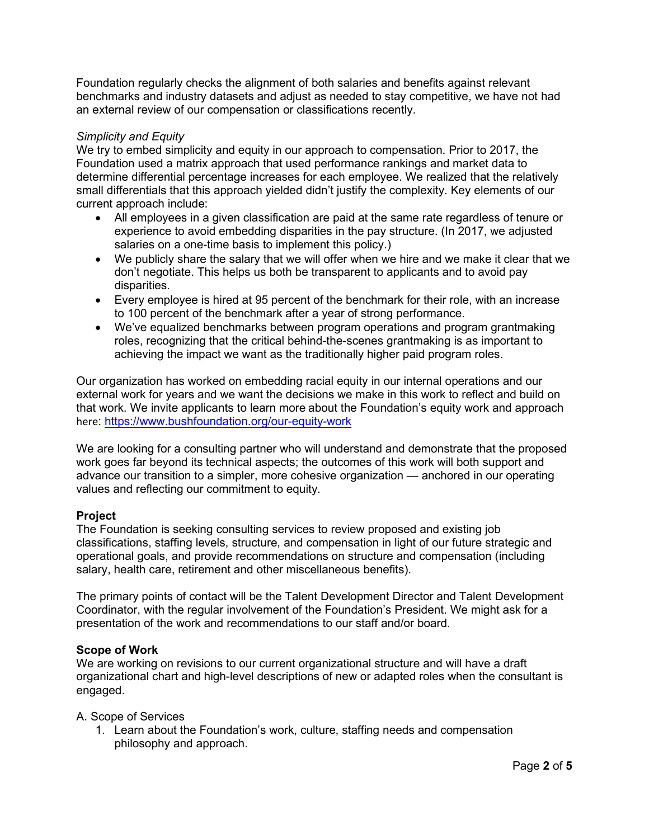Foundation regularly checks the alignment of both salaries and benefits against relevant benchmarks and industry datasets and adjust as needed to stay competitive, we have not had an external review of our compensation or classifications recently.

### *Simplicity and Equity*

We try to embed simplicity and equity in our approach to compensation. Prior to 2017, the Foundation used a matrix approach that used performance rankings and market data to determine differential percentage increases for each employee. We realized that the relatively small differentials that this approach yielded didn't justify the complexity. Key elements of our current approach include:

- All employees in a given classification are paid at the same rate regardless of tenure or experience to avoid embedding disparities in the pay structure. (In 2017, we adjusted salaries on a one-time basis to implement this policy.)
- We publicly share the salary that we will offer when we hire and we make it clear that we don't negotiate. This helps us both be transparent to applicants and to avoid pay disparities.
- Every employee is hired at 95 percent of the benchmark for their role, with an increase to 100 percent of the benchmark after a year of strong performance.
- We've equalized benchmarks between program operations and program grantmaking roles, recognizing that the critical behind-the-scenes grantmaking is as important to achieving the impact we want as the traditionally higher paid program roles.

Our organization has worked on embedding racial equity in our internal operations and our external work for years and we want the decisions we make in this work to reflect and build on that work. We invite applicants to learn more about the Foundation's equity work and approach here:<https://www.bushfoundation.org/our-equity-work>

We are looking for a consulting partner who will understand and demonstrate that the proposed work goes far beyond its technical aspects; the outcomes of this work will both support and advance our transition to a simpler, more cohesive organization — anchored in our operating values and reflecting our commitment to equity.

## **Project**

The Foundation is seeking consulting services to review proposed and existing job classifications, staffing levels, structure, and compensation in light of our future strategic and operational goals, and provide recommendations on structure and compensation (including salary, health care, retirement and other miscellaneous benefits).

The primary points of contact will be the Talent Development Director and Talent Development Coordinator, with the regular involvement of the Foundation's President. We might ask for a presentation of the work and recommendations to our staff and/or board.

#### **Scope of Work**

We are working on revisions to our current organizational structure and will have a draft organizational chart and high-level descriptions of new or adapted roles when the consultant is engaged.

#### A. Scope of Services

1. Learn about the Foundation's work, culture, staffing needs and compensation philosophy and approach.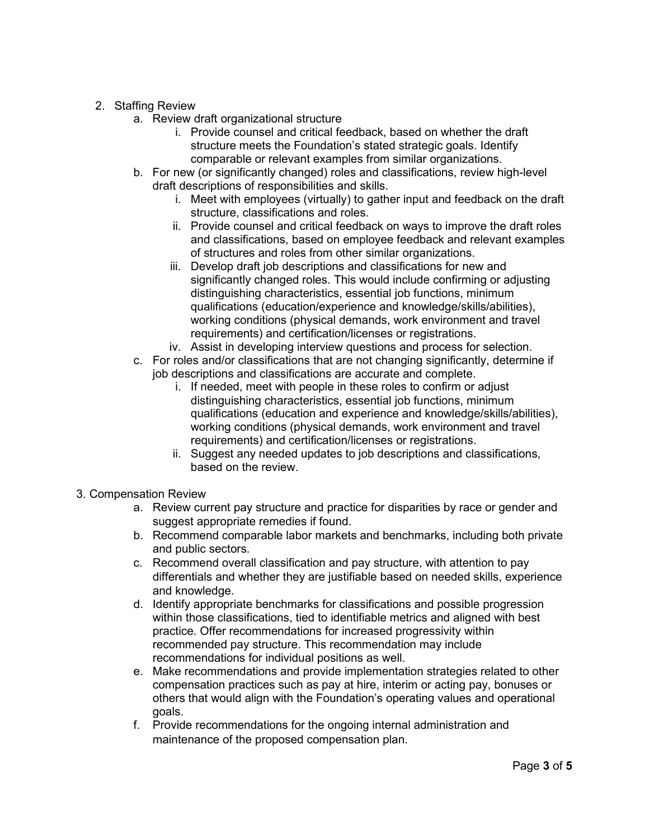## 2. Staffing Review

- a. Review draft organizational structure
	- i. Provide counsel and critical feedback, based on whether the draft structure meets the Foundation's stated strategic goals. Identify comparable or relevant examples from similar organizations.
- b. For new (or significantly changed) roles and classifications, review high-level draft descriptions of responsibilities and skills.
	- i. Meet with employees (virtually) to gather input and feedback on the draft structure, classifications and roles.
	- ii. Provide counsel and critical feedback on ways to improve the draft roles and classifications, based on employee feedback and relevant examples of structures and roles from other similar organizations.
	- iii. Develop draft job descriptions and classifications for new and significantly changed roles. This would include confirming or adjusting distinguishing characteristics, essential job functions, minimum qualifications (education/experience and knowledge/skills/abilities), working conditions (physical demands, work environment and travel requirements) and certification/licenses or registrations.
- iv. Assist in developing interview questions and process for selection. c. For roles and/or classifications that are not changing significantly, determine if job descriptions and classifications are accurate and complete.
	- i. If needed, meet with people in these roles to confirm or adjust distinguishing characteristics, essential job functions, minimum qualifications (education and experience and knowledge/skills/abilities), working conditions (physical demands, work environment and travel requirements) and certification/licenses or registrations.
	- ii. Suggest any needed updates to job descriptions and classifications, based on the review.
- 3. Compensation Review
	- a. Review current pay structure and practice for disparities by race or gender and suggest appropriate remedies if found.
	- b. Recommend comparable labor markets and benchmarks, including both private and public sectors.
	- c. Recommend overall classification and pay structure, with attention to pay differentials and whether they are justifiable based on needed skills, experience and knowledge.
	- d. Identify appropriate benchmarks for classifications and possible progression within those classifications, tied to identifiable metrics and aligned with best practice. Offer recommendations for increased progressivity within recommended pay structure. This recommendation may include recommendations for individual positions as well.
	- e. Make recommendations and provide implementation strategies related to other compensation practices such as pay at hire, interim or acting pay, bonuses or others that would align with the Foundation's operating values and operational goals.
	- f. Provide recommendations for the ongoing internal administration and maintenance of the proposed compensation plan.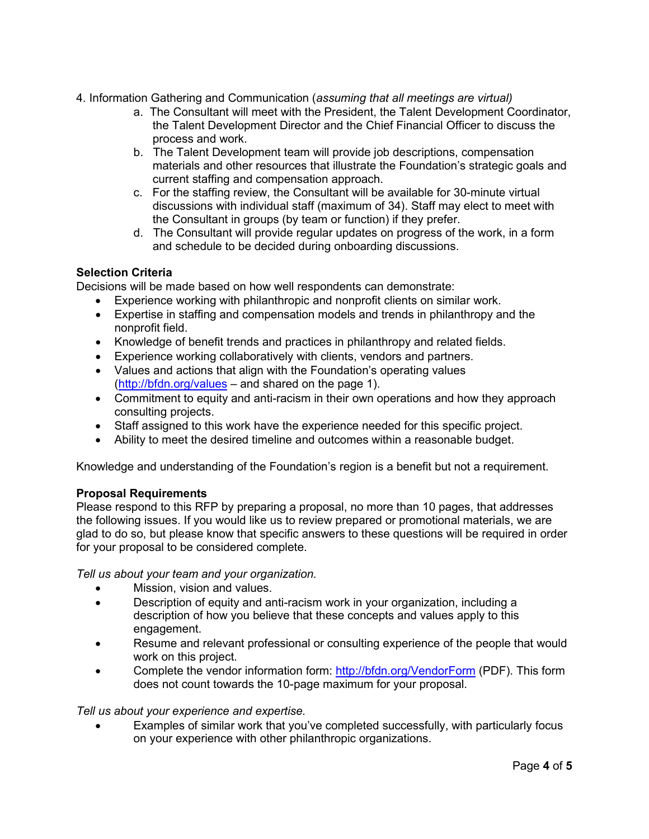- 4. Information Gathering and Communication (*assuming that all meetings are virtual)*
	- a. The Consultant will meet with the President, the Talent Development Coordinator, the Talent Development Director and the Chief Financial Officer to discuss the process and work.
	- b. The Talent Development team will provide job descriptions, compensation materials and other resources that illustrate the Foundation's strategic goals and current staffing and compensation approach.
	- c. For the staffing review, the Consultant will be available for 30-minute virtual discussions with individual staff (maximum of 34). Staff may elect to meet with the Consultant in groups (by team or function) if they prefer.
	- d. The Consultant will provide regular updates on progress of the work, in a form and schedule to be decided during onboarding discussions.

## **Selection Criteria**

Decisions will be made based on how well respondents can demonstrate:

- Experience working with philanthropic and nonprofit clients on similar work.
- Expertise in staffing and compensation models and trends in philanthropy and the nonprofit field.
- Knowledge of benefit trends and practices in philanthropy and related fields.
- Experience working collaboratively with clients, vendors and partners.
- Values and actions that align with the Foundation's operating values [\(http://bfdn.org/values](http://bfdn.org/values) – and shared on the page 1).
- Commitment to equity and anti-racism in their own operations and how they approach consulting projects.
- Staff assigned to this work have the experience needed for this specific project.
- Ability to meet the desired timeline and outcomes within a reasonable budget.

Knowledge and understanding of the Foundation's region is a benefit but not a requirement.

## **Proposal Requirements**

Please respond to this RFP by preparing a proposal, no more than 10 pages, that addresses the following issues. If you would like us to review prepared or promotional materials, we are glad to do so, but please know that specific answers to these questions will be required in order for your proposal to be considered complete.

*Tell us about your team and your organization.*

- Mission, vision and values.
- Description of equity and anti-racism work in your organization, including a description of how you believe that these concepts and values apply to this engagement.
- Resume and relevant professional or consulting experience of the people that would work on this project.
- Complete the vendor information form:<http://bfdn.org/VendorForm> (PDF). This form does not count towards the 10-page maximum for your proposal.

# *Tell us about your experience and expertise.*

• Examples of similar work that you've completed successfully, with particularly focus on your experience with other philanthropic organizations.